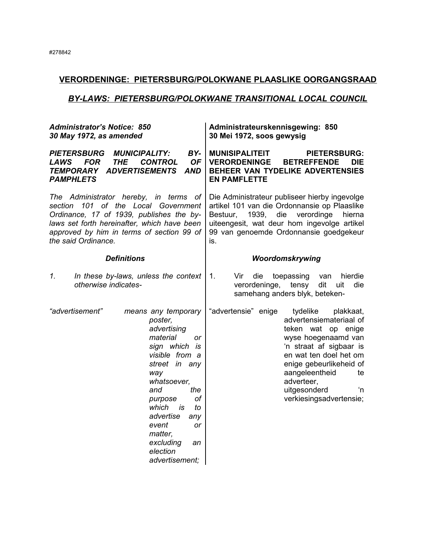# **VERORDENINGE: PIETERSBURG/POLOKWANE PLAASLIKE OORGANGSRAAD**

# *BY-LAWS: PIETERSBURG/POLOKWANE TRANSITIONAL LOCAL COUNCIL*

| <b>Administrator's Notice: 850</b><br>30 May 1972, as amended                                                                                                                                                                               |                                                                                                                                                                                                                                                                                                 | Administrateurskennisgewing: 850<br>30 Mei 1972, soos gewysig                                                                                                                                                                                                                               |  |  |
|---------------------------------------------------------------------------------------------------------------------------------------------------------------------------------------------------------------------------------------------|-------------------------------------------------------------------------------------------------------------------------------------------------------------------------------------------------------------------------------------------------------------------------------------------------|---------------------------------------------------------------------------------------------------------------------------------------------------------------------------------------------------------------------------------------------------------------------------------------------|--|--|
| <b>PIETERSBURG</b><br><b>MUNICIPALITY:</b><br><b>FOR</b><br><b>THE</b><br>LAWS<br><b>TEMPORARY ADVERTISEMENTS</b><br><b>PAMPHLETS</b>                                                                                                       | BY-<br><b>CONTROL</b><br><b>OF</b><br><b>AND</b>                                                                                                                                                                                                                                                | <b>MUNISIPALITEIT</b><br><b>PIETERSBURG:</b><br><b>VERORDENINGE</b><br><b>BETREFFENDE</b><br>DIE<br>BEHEER VAN TYDELIKE ADVERTENSIES<br><b>EN PAMFLETTE</b>                                                                                                                                 |  |  |
| The Administrator hereby, in terms<br>101 of the Local Government<br>section<br>Ordinance, 17 of 1939, publishes the by-<br>laws set forth hereinafter, which have been<br>approved by him in terms of section 99 of<br>the said Ordinance. | of                                                                                                                                                                                                                                                                                              | Die Administrateur publiseer hierby ingevolge<br>artikel 101 van die Ordonnansie op Plaaslike<br>1939,<br>die<br>verordinge<br>Bestuur,<br>hierna<br>uiteengesit, wat deur hom ingevolge artikel<br>99 van genoemde Ordonnansie goedgekeur<br>is.                                           |  |  |
| <b>Definitions</b>                                                                                                                                                                                                                          |                                                                                                                                                                                                                                                                                                 | Woordomskrywing                                                                                                                                                                                                                                                                             |  |  |
| 1.<br>In these by-laws, unless the context<br>otherwise indicates-                                                                                                                                                                          |                                                                                                                                                                                                                                                                                                 | 1.<br>Vir<br>die<br>toepassing<br>hierdie<br>van<br>die<br>verordeninge,<br>tensy<br>dit<br>uit<br>samehang anders blyk, beteken-                                                                                                                                                           |  |  |
| "advertisement"                                                                                                                                                                                                                             | means any temporary<br>poster,<br>advertising<br>material<br>or<br>sign which<br>is<br>visible from a<br>street in any<br>way<br>whatsoever,<br>the<br>and<br>оf<br>purpose<br>which<br>is<br>to<br>advertise<br>any<br>event<br>or<br>matter,<br>excluding<br>an<br>election<br>advertisement; | "advertensie" enige<br>tydelike<br>plakkaat,<br>advertensiemateriaal of<br>teken wat op enige<br>wyse hoegenaamd van<br>'n straat af sigbaar is<br>en wat ten doel het om<br>enige gebeurlikeheid of<br>aangeleentheid<br>te<br>adverteer,<br>uitgesonderd<br>'n<br>verkiesingsadvertensie; |  |  |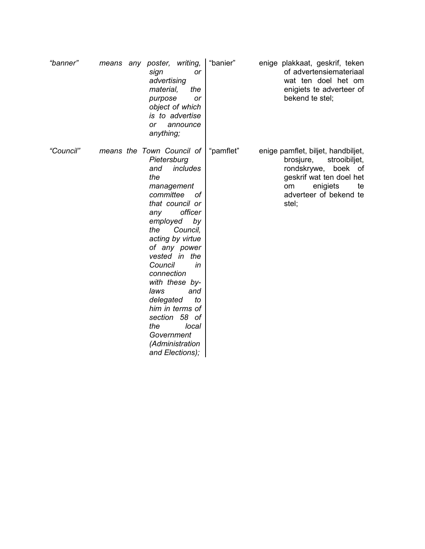| "banner"  | means | writing,<br>any poster,<br>sign<br><b>or</b><br>advertising<br>material,<br>the<br>purpose<br>or<br>object of which<br>is to advertise<br>announce<br>or<br>anything;                                                                                                                                                                                                                                                            | "banier"  | enige plakkaat, geskrif, teken<br>of advertensiemateriaal<br>wat ten doel het om<br>enigiets te adverteer of<br>bekend te stel;                                                      |
|-----------|-------|----------------------------------------------------------------------------------------------------------------------------------------------------------------------------------------------------------------------------------------------------------------------------------------------------------------------------------------------------------------------------------------------------------------------------------|-----------|--------------------------------------------------------------------------------------------------------------------------------------------------------------------------------------|
| "Council" |       | means the Town Council of<br>Pietersburg<br>includes<br>and<br>the<br>management<br>committee<br>οf<br>that council or<br>officer<br>any<br>employed<br>by<br>the<br>Council,<br>acting by virtue<br>of any power<br>vested in the<br>Council<br>in<br>connection<br>with these by-<br>laws<br>and<br>to<br>delegated<br>him in terms of<br>58 of<br>section<br>the<br>local<br>Government<br>(Administration<br>and Elections); | "pamflet" | enige pamflet, biljet, handbiljet,<br>brosjure,<br>strooibiljet,<br>rondskrywe,<br>boek<br>of<br>geskrif wat ten doel het<br>enigiets<br>om<br>te<br>adverteer of bekend te<br>stel; |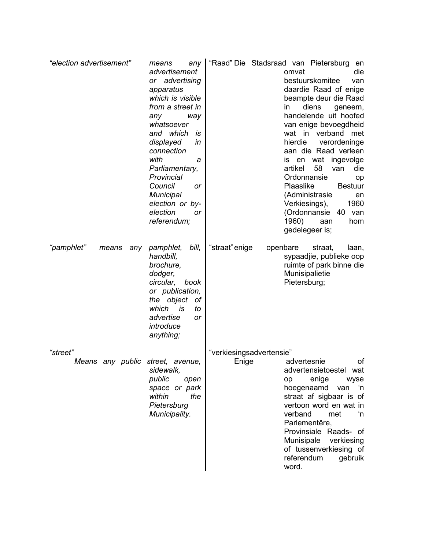| "election advertisement"                     | means<br>any<br>advertisement<br>advertising<br>or<br>apparatus<br>which is visible<br>from a street in<br>any<br>way<br>whatsoever<br>and which<br>is<br>displayed<br>in<br>connection<br>with<br>а<br>Parliamentary,<br>Provincial<br>Council<br><b>or</b><br>Municipal<br>election or by-<br>election<br>or<br>referendum; | "Raad" Die Stadsraad van Pietersburg<br>en<br>die<br>omvat<br>bestuurskomitee<br>van<br>daardie Raad of enige<br>beampte deur die Raad<br>diens<br>in.<br>geneem,<br>handelende uit hoofed<br>van enige bevoegdheid<br>wat in verband met<br>hierdie<br>verordeninge<br>aan die Raad verleen<br>wat<br>ingevolge<br>en<br>IS<br>58<br>artikel<br>van<br>die<br>Ordonnansie<br>op<br>Plaaslike<br><b>Bestuur</b><br>(Administrasie<br>en<br>1960<br>Verkiesings),<br>(Ordonnansie<br>40 van<br>1960)<br>aan<br>hom<br>gedelegeer is; |
|----------------------------------------------|-------------------------------------------------------------------------------------------------------------------------------------------------------------------------------------------------------------------------------------------------------------------------------------------------------------------------------|-------------------------------------------------------------------------------------------------------------------------------------------------------------------------------------------------------------------------------------------------------------------------------------------------------------------------------------------------------------------------------------------------------------------------------------------------------------------------------------------------------------------------------------|
| "pamphlet"<br>means<br>any                   | pamphlet,<br>bill,<br>handbill,<br>brochure,<br>dodger,<br>circular,<br>book<br>or publication,<br>the object<br>оf<br>which<br>is<br>to<br>advertise<br><b>or</b><br>introduce<br>anything;                                                                                                                                  | "straat" enige<br>openbare<br>straat,<br>laan,<br>sypaadjie, publieke oop<br>ruimte of park binne die<br>Munisipalietie<br>Pietersburg;                                                                                                                                                                                                                                                                                                                                                                                             |
| "street"<br>Means any public street, avenue, | sidewalk,<br>public<br>open<br>space or park<br>within<br>the<br>Pietersburg<br>Municipality.                                                                                                                                                                                                                                 | "verkiesingsadvertensie"<br>advertesnie<br>οf<br>Enige<br>advertensietoestel wat<br>enige<br>wyse<br>op<br>hoegenaamd<br>'n<br>van<br>straat af sigbaar is of<br>vertoon word en wat in<br>verband<br>met<br>'n<br>Parlementêre,<br>Provinsiale Raads- of<br>Munisipale<br>verkiesing<br>of tussenverkiesing of<br>referendum<br>gebruik<br>word.                                                                                                                                                                                   |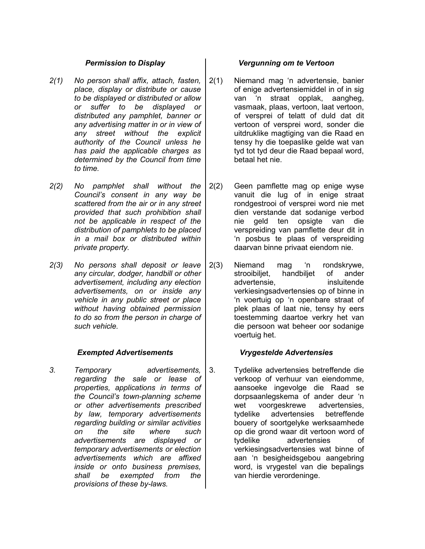- *2(1) No person shall affix, attach, fasten, place, display or distribute or cause to be displayed or distributed or allow or suffer to be displayed or distributed any pamphlet, banner or any advertising matter in or in view of any street without the explicit authority of the Council unless he has paid the applicable charges as determined by the Council from time to time.*
- *2(2) No pamphlet shall without the Council's consent in any way be scattered from the air or in any street provided that such prohibition shall not be applicable in respect of the distribution of pamphlets to be placed in a mail box or distributed within private property.*
- *2(3) No persons shall deposit or leave any circular, dodger, handbill or other advertisement, including any election advertisements, on or inside any vehicle in any public street or place without having obtained permission to do so from the person in charge of such vehicle.*

# *Exempted Advertisements Vrygestelde Advertensies*

*3. Temporary advertisements, regarding the sale or lease of properties, applications in terms of the Council's town-planning scheme or other advertisements prescribed by law, temporary advertisements regarding building or similar activities on the site where such advertisements are displayed or temporary advertisements or election advertisements which are affixed inside or onto business premises, shall be exempted from the provisions of these by-laws.*

### *Permission to Display Vergunning om te Vertoon*

- 2(1) Niemand mag 'n advertensie, banier of enige advertensiemiddel in of in sig van 'n straat opplak, aangheg, vasmaak, plaas, vertoon, laat vertoon, of versprei of telatt of duld dat dit vertoon of versprei word, sonder die uitdruklike magtiging van die Raad en tensy hy die toepaslike gelde wat van tyd tot tyd deur die Raad bepaal word, betaal het nie.
- 2(2) Geen pamflette mag op enige wyse vanuit die lug of in enige straat rondgestrooi of versprei word nie met dien verstande dat sodanige verbod nie geld ten opsigte van die verspreiding van pamflette deur dit in 'n posbus te plaas of verspreiding daarvan binne privaat eiendom nie.
- 2(3) Niemand mag 'n rondskrywe, strooibiljet, handbiljet of ander advertensie, insluitende verkiesingsadvertensies op of binne in 'n voertuig op 'n openbare straat of plek plaas of laat nie, tensy hy eers toestemming daartoe verkry het van die persoon wat beheer oor sodanige voertuig het.

3. Tydelike advertensies betreffende die verkoop of verhuur van eiendomme, aansoeke ingevolge die Raad se dorpsaanlegskema of ander deur 'n wet voorgeskrewe advertensies, tydelike advertensies betreffende bouery of soortgelyke werksaamhede op die grond waar dit vertoon word of tydelike advertensies of verkiesingsadvertensies wat binne of aan 'n besigheidsgebou aangebring word, is vrygestel van die bepalings van hierdie verordeninge.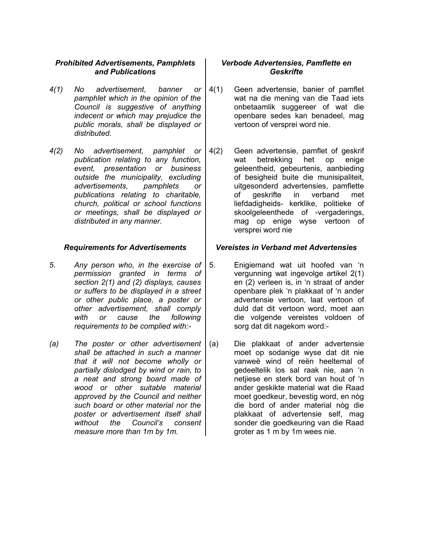# *Prohibited Advertisements, Pamphlets and Publications*

- *4(1) No advertisement, banner or pamphlet which in the opinion of the Council is suggestive of anything indecent or which may prejudice the public morals, shall be displayed or distributed.*
- *4(2) No advertisement, pamphlet or publication relating to any function, event, presentation or business outside the municipality, excluding advertisements, pamphlets or publications relating to charitable, church, political or school functions or meetings, shall be displayed or distributed in any manner.*

- *5. Any person who, in the exercise of permission granted in terms of section 2(1) and (2) displays, causes or suffers to be displayed in a street or other public place, a poster or other advertisement, shall comply with or cause the following requirements to be complied with:-*
- *(a) The poster or other advertisement shall be attached in such a manner that it will not become wholly or partially dislodged by wind or rain, to a neat and strong board made of wood or other suitable material approved by the Council and neither such board or other material nor the poster or advertisement itself shall without the Council's consent measure more than 1m by 1m.*

# *Verbode Advertensies, Pamflette en Geskrifte*

- 4(1) Geen advertensie, banier of pamflet wat na die mening van die Taad iets onbetaamlik suggereer of wat die openbare sedes kan benadeel, mag vertoon of versprei word nie.
- 4(2) Geen advertensie, pamflet of geskrif wat betrekking het op enige geleentheid, gebeurtenis, aanbieding of besigheid buite die munisipaliteit, uitgesonderd advertensies, pamflette of geskrifte in verband met liefdadigheids- kerklike, politieke of skoolgeleenthede of -vergaderings, mag op enige wyse vertoon of versprei word nie

### *Requirements for Advertisements Vereistes in Verband met Advertensies*

- 5. Enigiemand wat uit hoofed van 'n vergunning wat ingevolge artikel 2(1) en (2) verleen is, in 'n straat of ander openbare plek 'n plakkaat of 'n ander advertensie vertoon, laat vertoon of duld dat dit vertoon word, moet aan die volgende vereistes voldoen of sorg dat dit nagekom word:-
- (a) Die plakkaat of ander advertensie moet op sodanige wyse dat dit nie vanweë wind of reën heeltemal of gedeeltelik los sal raak nie, aan 'n netjiese en sterk bord van hout of 'n ander geskikte material wat die Raad moet goedkeur, bevestig word, en nòg die bord of ander material nòg die plakkaat of advertensie self, mag sonder die goedkeuring van die Raad groter as 1 m by 1m wees nie.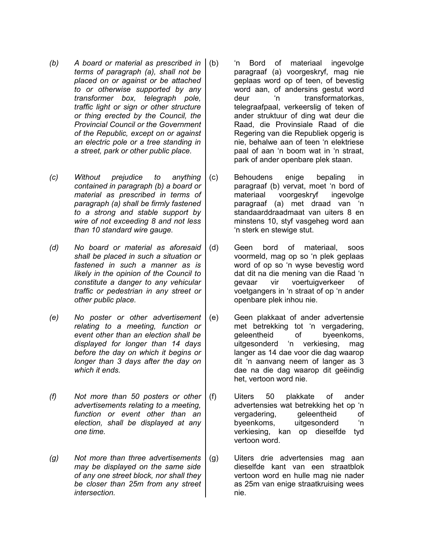- *(b) A board or material as prescribed in terms of paragraph (a), shall not be placed on or against or be attached to or otherwise supported by any transformer box, telegraph pole, traffic light or sign or other structure or thing erected by the Council, the Provincial Council or the Government of the Republic, except on or against an electric pole or a tree standing in a street, park or other public place.*
- *(c) Without prejudice to anything contained in paragraph (b) a board or material as prescribed in terms of paragraph (a) shall be firmly fastened to a strong and stable support by wire of not exceeding 8 and not less than 10 standard wire gauge.*
- *(d) No board or material as aforesaid shall be placed in such a situation or fastened in such a manner as is likely in the opinion of the Council to constitute a danger to any vehicular traffic or pedestrian in any street or other public place.*
- *(e) No poster or other advertisement relating to a meeting, function or event other than an election shall be displayed for longer than 14 days before the day on which it begins or longer than 3 days after the day on which it ends.*
- *(f) Not more than 50 posters or other advertisements relating to a meeting, function or event other than an election, shall be displayed at any one time.*
- *(g) Not more than three advertisements may be displayed on the same side of any one street block, nor shall they be closer than 25m from any street intersection.*
- (b) 'n Bord of materiaal ingevolge paragraaf (a) voorgeskryf, mag nie geplaas word op of teen, of bevestig word aan, of andersins gestut word deur 'n transformatorkas, telegraafpaal, verkeerslig of teken of ander struktuur of ding wat deur die Raad, die Provinsiale Raad of die Regering van die Republiek opgerig is nie, behalwe aan of teen 'n elektriese paal of aan 'n boom wat in 'n straat, park of ander openbare plek staan.
- (c) Behoudens enige bepaling in paragraaf (b) vervat, moet 'n bord of materiaal voorgeskryf ingevolge paragraaf (a) met draad van 'n standaarddraadmaat van uiters 8 en minstens 10, styf vasgeheg word aan 'n sterk en stewige stut.
	- (d) Geen bord of materiaal, soos voormeld, mag op so 'n plek geplaas word of op so 'n wyse bevestig word dat dit na die mening van die Raad 'n gevaar vir voertuigverkeer of voetgangers in 'n straat of op 'n ander openbare plek inhou nie.
	- (e) Geen plakkaat of ander advertensie met betrekking tot 'n vergadering, geleentheid of byeenkoms, uitgesonderd 'n verkiesing, mag langer as 14 dae voor die dag waarop dit 'n aanvang neem of langer as 3 dae na die dag waarop dit geëindig het, vertoon word nie.
	- (f) Uiters 50 plakkate of ander advertensies wat betrekking het op 'n vergadering, geleentheid of byeenkoms, uitgesonderd 'n verkiesing, kan op dieselfde tyd vertoon word.
	- (g) Uiters drie advertensies mag aan dieselfde kant van een straatblok vertoon word en hulle mag nie nader as 25m van enige straatkruising wees nie.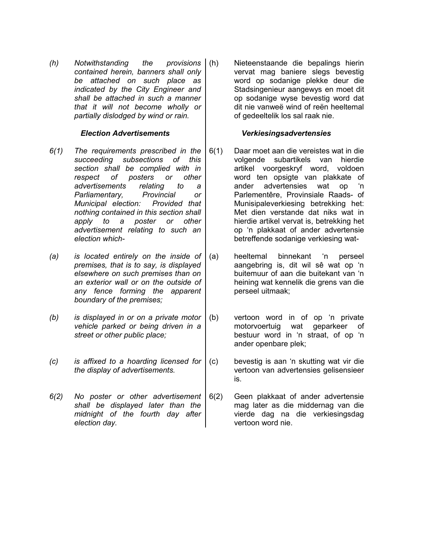*(h) Notwithstanding the provisions contained herein, banners shall only be attached on such place as indicated by the City Engineer and shall be attached in such a manner that it will not become wholly or partially dislodged by wind or rain.*

- *6(1) The requirements prescribed in the succeeding subsections of this section shall be complied with in respect of posters or other advertisements relating to a Parliamentary, Provincial or Municipal election: Provided that nothing contained in this section shall apply to a poster or other advertisement relating to such an election which-*
- *(a) is located entirely on the inside of premises, that is to say, is displayed elsewhere on such premises than on an exterior wall or on the outside of any fence forming the apparent boundary of the premises;*
- *(b) is displayed in or on a private motor vehicle parked or being driven in a street or other public place;*
- *(c) is affixed to a hoarding licensed for the display of advertisements.*
- *6(2) No poster or other advertisement shall be displayed later than the midnight of the fourth day after election day.*

(h) Nieteenstaande die bepalings hierin vervat mag baniere slegs bevestig word op sodanige plekke deur die Stadsingenieur aangewys en moet dit op sodanige wyse bevestig word dat dit nie vanweë wind of reën heeltemal of gedeeltelik los sal raak nie.

### *Election Advertisements Verkiesingsadvertensies*

- 6(1) Daar moet aan die vereistes wat in die volgende subartikels van hierdie artikel voorgeskryf word, voldoen word ten opsigte van plakkate of ander advertensies wat op 'n Parlementêre, Provinsiale Raads- of Munisipaleverkiesing betrekking het: Met dien verstande dat niks wat in hierdie artikel vervat is, betrekking het op 'n plakkaat of ander advertensie betreffende sodanige verkiesing wat-
- (a) heeltemal binnekant 'n perseel aangebring is, dit wil sê wat op 'n buitemuur of aan die buitekant van 'n heining wat kennelik die grens van die perseel uitmaak;
- (b) vertoon word in of op 'n private motorvoertuig wat geparkeer of bestuur word in 'n straat, of op 'n ander openbare plek;
- (c) bevestig is aan 'n skutting wat vir die vertoon van advertensies gelisensieer is.
- 6(2) Geen plakkaat of ander advertensie mag later as die middernag van die vierde dag na die verkiesingsdag vertoon word nie.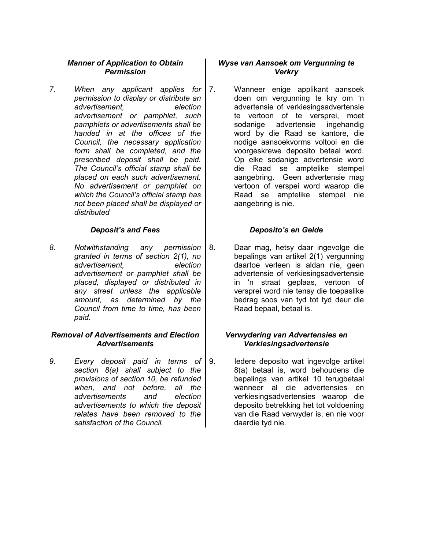# *Manner of Application to Obtain Permission*

*7. When any applicant applies for permission to display or distribute an advertisement, election advertisement or pamphlet, such pamphlets or advertisements shall be handed in at the offices of the Council, the necessary application form shall be completed, and the prescribed deposit shall be paid. The Council's official stamp shall be placed on each such advertisement. No advertisement or pamphlet on which the Council's official stamp has not been placed shall be displayed or distributed*

*8. Notwithstanding any permission granted in terms of section 2(1), no advertisement, election advertisement or pamphlet shall be placed, displayed or distributed in any street unless the applicable amount, as determined by the Council from time to time, has been paid.*

### *Removal of Advertisements and Election Advertisements*

*9. Every deposit paid in terms of section 8(a) shall subject to the provisions of section 10, be refunded when, and not before, all the advertisements and election advertisements to which the deposit relates have been removed to the satisfaction of the Council.*

# *Wyse van Aansoek om Vergunning te Verkry*

7. Wanneer enige applikant aansoek doen om vergunning te kry om 'n advertensie of verkiesingsadvertensie te vertoon of te versprei, moet sodanige advertensie ingehandig word by die Raad se kantore, die nodige aansoekvorms voltooi en die voorgeskrewe deposito betaal word. Op elke sodanige advertensie word die Raad se amptelike stempel aangebring. Geen advertensie mag vertoon of verspei word waarop die Raad se amptelike stempel nie aangebring is nie.

# *Deposit's and Fees Deposito's en Gelde*

8. Daar mag, hetsy daar ingevolge die bepalings van artikel 2(1) vergunning daartoe verleen is aldan nie, geen advertensie of verkiesingsadvertensie in 'n straat geplaas, vertoon of versprei word nie tensy die toepaslike bedrag soos van tyd tot tyd deur die Raad bepaal, betaal is.

### *Verwydering van Advertensies en Verkiesingsadvertensie*

9. Iedere deposito wat ingevolge artikel 8(a) betaal is, word behoudens die bepalings van artikel 10 terugbetaal wanneer al die advertensies en verkiesingsadvertensies waarop die deposito betrekking het tot voldoening van die Raad verwyder is, en nie voor daardie tyd nie.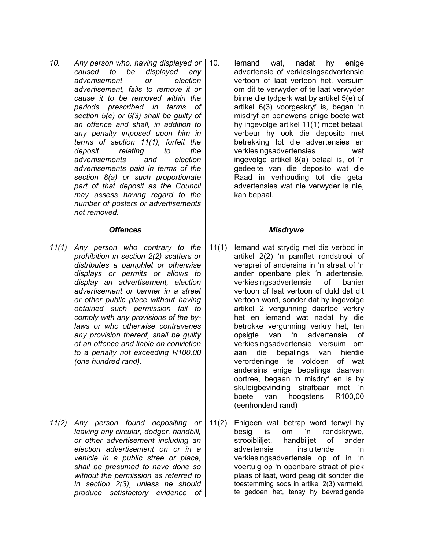*10. Any person who, having displayed or caused to be displayed any advertisement or election advertisement, fails to remove it or cause it to be removed within the periods prescribed in terms of section 5(e) or 6(3) shall be guilty of an offence and shall, in addition to any penalty imposed upon him in terms of section 11(1), forfeit the deposit relating to the advertisements and election advertisements paid in terms of the section 8(a) or such proportionate part of that deposit as the Council may assess having regard to the number of posters or advertisements not removed.*

- *11(1) Any person who contrary to the prohibition in section 2(2) scatters or distributes a pamphlet or otherwise displays or permits or allows to display an advertisement, election advertisement or banner in a street or other public place without having obtained such permission fail to comply with any provisions of the bylaws or who otherwise contravenes any provision thereof, shall be guilty of an offence and liable on conviction to a penalty not exceeding R100,00 (one hundred rand).*
- *11(2) Any person found depositing or leaving any circular, dodger, handbill, or other advertisement including an election advertisement on or in a vehicle in a public stree or place, shall be presumed to have done so without the permission as referred to in section 2(3), unless he should produce satisfactory evidence of*

10. Iemand wat, nadat hy enige advertensie of verkiesingsadvertensie vertoon of laat vertoon het, versuim om dit te verwyder of te laat verwyder binne die tydperk wat by artikel 5(e) of artikel 6(3) voorgeskryf is, began 'n misdryf en benewens enige boete wat hy ingevolge artikel 11(1) moet betaal, verbeur hy ook die deposito met betrekking tot die advertensies en verkiesingsadvertensies wat ingevolge artikel 8(a) betaal is, of 'n gedeelte van die deposito wat die Raad in verhouding tot die getal advertensies wat nie verwyder is nie, kan bepaal.

# *Offences Misdrywe*

- 11(1) Iemand wat strydig met die verbod in artikel 2(2) 'n pamflet rondstrooi of versprei of andersins in 'n straat of 'n ander openbare plek 'n adertensie, verkiesingsadvertensie of banier vertoon of laat vertoon of duld dat dit vertoon word, sonder dat hy ingevolge artikel 2 vergunning daartoe verkry het en iemand wat nadat hy die betrokke vergunning verkry het, ten opsigte van 'n advertensie of verkiesingsadvertensie versuim om aan die bepalings van hierdie verordeninge te voldoen of wat andersins enige bepalings daarvan oortree, begaan 'n misdryf en is by skuldigbevinding strafbaar met 'n boete van hoogstens R100,00 (eenhonderd rand)
- 11(2) Enigeen wat betrap word terwyl hy besig is om 'n rondskrywe, strooibliliet, handbiliet of ander advertensie insluitende 'n verkiesingsadvertensie op of in 'n voertuig op 'n openbare straat of plek plaas of laat, word geag dit sonder die toestemming soos in artikel 2(3) vermeld, te gedoen het, tensy hy bevredigende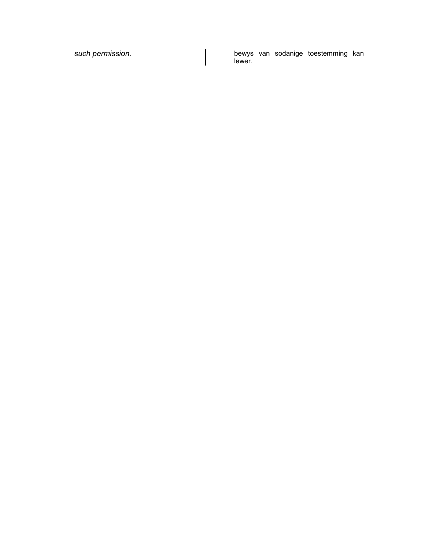*such permission.* bewys van sodanige toestemming kan lewer.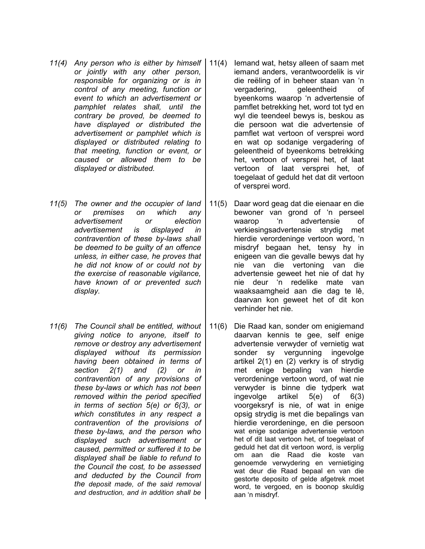- *11(4) Any person who is either by himself or jointly with any other person, responsible for organizing or is in control of any meeting, function or event to which an advertisement or pamphlet relates shall, until the contrary be proved, be deemed to have displayed or distributed the advertisement or pamphlet which is displayed or distributed relating to that meeting, function or event, or caused or allowed them to be displayed or distributed.*
- *11(5) The owner and the occupier of land or premises on which any advertisement or election advertisement is displayed in contravention of these by-laws shall be deemed to be guilty of an offence unless, in either case, he proves that he did not know of or could not by the exercise of reasonable vigilance, have known of or prevented such display.*
- *11(6) The Council shall be entitled, without giving notice to anyone, itself to remove or destroy any advertisement displayed without its permission having been obtained in terms of section 2(1) and (2) or in contravention of any provisions of these by-laws or which has not been removed within the period specified in terms of section 5(e) or 6(3), or which constitutes in any respect a contravention of the provisions of these by-laws, and the person who displayed such advertisement or caused, permitted or suffered it to be displayed shall be liable to refund to the Council the cost, to be assessed and deducted by the Council from the deposit made, of the said removal and destruction, and in addition shall be*
- 11(4) Iemand wat, hetsy alleen of saam met iemand anders, verantwoordelik is vir die reëling of in beheer staan van 'n vergadering, geleentheid of byeenkoms waarop 'n advertensie of pamflet betrekking het, word tot tyd en wyl die teendeel bewys is, beskou as die persoon wat die advertensie of pamflet wat vertoon of versprei word en wat op sodanige vergadering of geleentheid of byeenkoms betrekking het, vertoon of versprei het, of laat vertoon of laat versprei het, of toegelaat of geduld het dat dit vertoon of versprei word.
- 11(5) Daar word geag dat die eienaar en die bewoner van grond of 'n perseel waarop 'n advertensie of verkiesingsadvertensie strydig met hierdie verordeninge vertoon word, 'n misdryf begaan het, tensy hy in enigeen van die gevalle bewys dat hy nie van die vertoning van die advertensie geweet het nie of dat hy nie deur 'n redelike mate van waaksaamgheid aan die dag te lê, daarvan kon geweet het of dit kon verhinder het nie.
- 11(6) Die Raad kan, sonder om enigiemand daarvan kennis te gee, self enige advertensie verwyder of vernietig wat sonder sy vergunning ingevolge artikel 2(1) en (2) verkry is of strydig met enige bepaling van hierdie verordeninge vertoon word, of wat nie verwyder is binne die tydperk wat ingevolge artikel 5(e) of 6(3) voorgeksryf is nie, of wat in enige opsig strydig is met die bepalings van hierdie verordeninge, en die persoon wat enige sodanige advertensie vertoon het of dit laat vertoon het, of toegelaat of geduld het dat dit vertoon word, is verplig om aan die Raad die koste van genoemde verwydering en vernietiging wat deur die Raad bepaal en van die gestorte deposito of gelde afgetrek moet word, te vergoed, en is boonop skuldig aan 'n misdryf.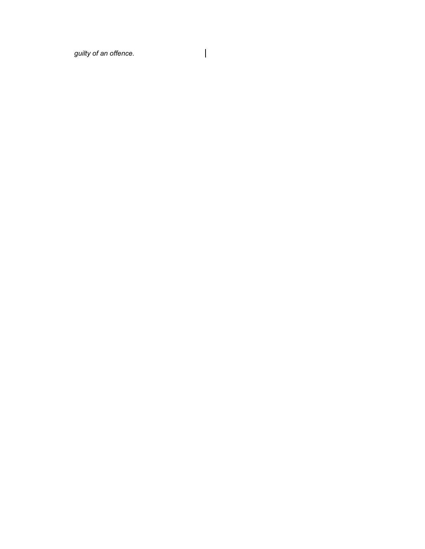*guilty of an offence.*

 $\overline{\phantom{a}}$